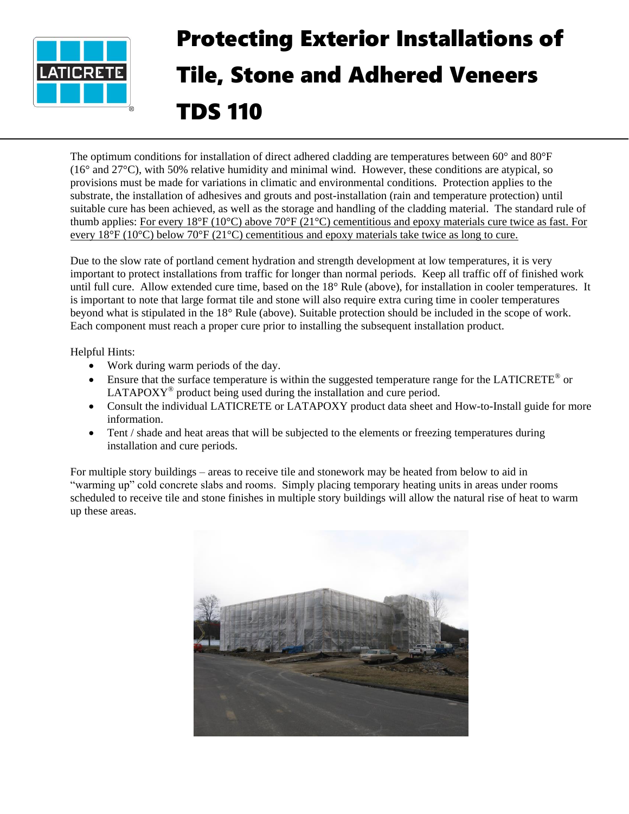

## Protecting Exterior Installations of Tile, Stone and Adhered Veneers TDS 110

The optimum conditions for installation of direct adhered cladding are temperatures between  $60^{\circ}$  and  $80^{\circ}F$ (16° and 27°C), with 50% relative humidity and minimal wind. However, these conditions are atypical, so provisions must be made for variations in climatic and environmental conditions. Protection applies to the substrate, the installation of adhesives and grouts and post-installation (rain and temperature protection) until suitable cure has been achieved, as well as the storage and handling of the cladding material. The standard rule of thumb applies: For every 18°F (10°C) above 70°F (21°C) cementitious and epoxy materials cure twice as fast. For every 18°F (10°C) below 70°F (21°C) cementitious and epoxy materials take twice as long to cure.

Due to the slow rate of portland cement hydration and strength development at low temperatures, it is very important to protect installations from traffic for longer than normal periods. Keep all traffic off of finished work until full cure. Allow extended cure time, based on the 18° Rule (above), for installation in cooler temperatures. It is important to note that large format tile and stone will also require extra curing time in cooler temperatures beyond what is stipulated in the 18° Rule (above). Suitable protection should be included in the scope of work. Each component must reach a proper cure prior to installing the subsequent installation product.

Helpful Hints:

- Work during warm periods of the day.
- Ensure that the surface temperature is within the suggested temperature range for the LATICRETE® or  $LATAPOXY<sup>®</sup>$  product being used during the installation and cure period.
- Consult the individual LATICRETE or LATAPOXY product data sheet and How-to-Install guide for more information.
- Tent / shade and heat areas that will be subjected to the elements or freezing temperatures during installation and cure periods.

For multiple story buildings – areas to receive tile and stonework may be heated from below to aid in "warming up" cold concrete slabs and rooms. Simply placing temporary heating units in areas under rooms scheduled to receive tile and stone finishes in multiple story buildings will allow the natural rise of heat to warm up these areas.